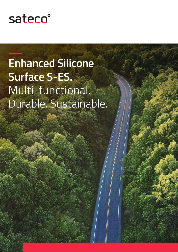

2

# **Enhanced Silicone Surface S-ES.** Multi-functional. Durable. Sustainable.